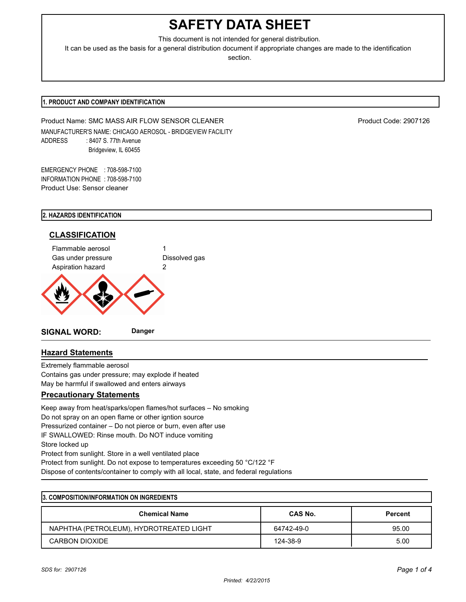# **SAFETY DATA SHEET**

This document is not intended for general distribution.

It can be used as the basis for a general distribution document if appropriate changes are made to the identification section.

# **1. PRODUCT AND COMPANY IDENTIFICATION**

Product Name: SMC MASS AIR FLOW SENSOR CLEANER PRODUCT PRODUCT Code: 2907126 MANUFACTURER'S NAME: CHICAGO AEROSOL - BRIDGEVIEW FACILITY ADDRESS : 8407 S. 77th Avenue Bridgeview, IL 60455

EMERGENCY PHONE : 708-598-7100 INFORMATION PHONE : 708-598-7100 Product Use: Sensor cleaner

# **2. HAZARDS IDENTIFICATION**



# **Hazard Statements**

Extremely flammable aerosol Contains gas under pressure; may explode if heated May be harmful if swallowed and enters airways

# **Precautionary Statements**

Keep away from heat/sparks/open flames/hot surfaces – No smoking Do not spray on an open flame or other igntion source Pressurized container – Do not pierce or burn, even after use IF SWALLOWED: Rinse mouth. Do NOT induce vomiting Store locked up Protect from sunlight. Store in a well ventilated place Protect from sunlight. Do not expose to temperatures exceeding 50 °C/122 °F Dispose of contents/container to comply with all local, state, and federal regulations

| 3. COMPOSITION/INFORMATION ON INGREDIENTS |                |                |  |
|-------------------------------------------|----------------|----------------|--|
| <b>Chemical Name</b>                      | <b>CAS No.</b> | <b>Percent</b> |  |
| NAPHTHA (PETROLEUM), HYDROTREATED LIGHT   | 64742-49-0     | 95.00          |  |
| CARBON DIOXIDE                            | 124-38-9       | 5.00           |  |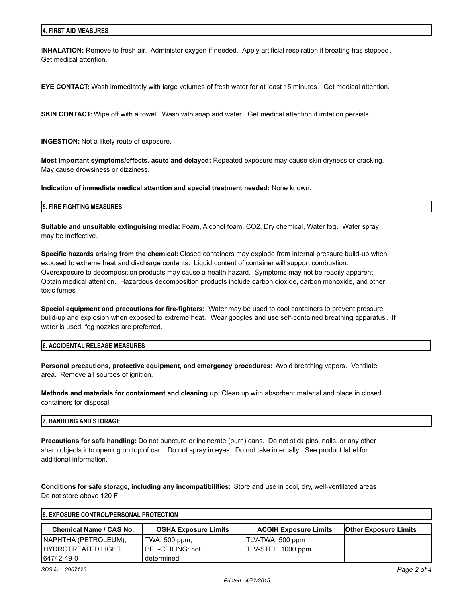I**NHALATION:** Remove to fresh air. Administer oxygen if needed. Apply artificial respiration if breating has stopped. Get medical attention.

**EYE CONTACT:** Wash immediately with large volumes of fresh water for at least 15 minutes . Get medical attention.

**SKIN CONTACT:** Wipe off with a towel. Wash with soap and water. Get medical attention if irritation persists.

**INGESTION:** Not a likely route of exposure.

**Most important symptoms/effects, acute and delayed:** Repeated exposure may cause skin dryness or cracking. May cause drowsiness or dizziness.

**Indication of immediate medical attention and special treatment needed:** None known.

#### **5. FIRE FIGHTING MEASURES**

**Suitable and unsuitable extinguising media:** Foam, Alcohol foam, CO2, Dry chemical, Water fog. Water spray may be ineffective.

**Specific hazards arising from the chemical:** Closed containers may explode from internal pressure build-up when exposed to extreme heat and discharge contents. Liquid content of container will support combustion. Overexposure to decomposition products may cause a health hazard. Symptoms may not be readily apparent. Obtain medical attention. Hazardous decomposition products include carbon dioxide, carbon monoxide, and other toxic fumes

**Special equipment and precautions for fire-fighters:** Water may be used to cool containers to prevent pressure build-up and explosion when exposed to extreme heat. Wear goggles and use self-contained breathing apparatus . If water is used, fog nozzles are preferred.

#### **6. ACCIDENTAL RELEASE MEASURES**

**Personal precautions, protective equipment, and emergency procedures:** Avoid breathing vapors. Ventilate area. Remove all sources of ignition.

**Methods and materials for containment and cleaning up:** Clean up with absorbent material and place in closed containers for disposal.

#### **7. HANDLING AND STORAGE**

**Precautions for safe handling:** Do not puncture or incinerate (burn) cans. Do not stick pins, nails, or any other sharp objects into opening on top of can. Do not spray in eyes. Do not take internally. See product label for additional information.

**Conditions for safe storage, including any incompatibilities:** Store and use in cool, dry, well-ventilated areas. Do not store above 120 F.

| <b>8. EXPOSURE CONTROL/PERSONAL PROTECTION</b> |                             |                              |                              |  |
|------------------------------------------------|-----------------------------|------------------------------|------------------------------|--|
| Chemical Name / CAS No.                        | <b>OSHA Exposure Limits</b> | <b>ACGIH Exposure Limits</b> | <b>Other Exposure Limits</b> |  |
| NAPHTHA (PETROLEUM),                           | TWA: 500 ppm;               | TLV-TWA: 500 ppm             |                              |  |
| <b>IHYDROTREATED LIGHT</b>                     | PEL-CEILING: not            | TLV-STEL: 1000 ppm           |                              |  |
| 64742-49-0                                     | determined                  |                              |                              |  |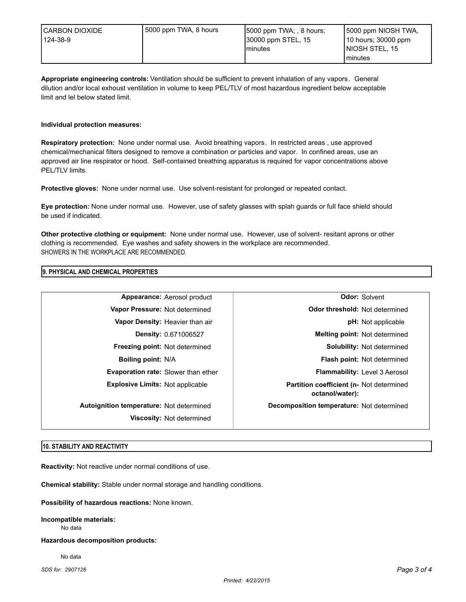**Appropriate engineering controls:** Ventilation should be sufficient to prevent inhalation of any vapors . General dilution and/or local exhoust ventilation in volume to keep PEL/TLV of most hazardous ingredient below acceptable limit and lel below stated limit.

# **Individual protection measures:**

**Respiratory protection:** None under normal use. Avoid breathing vapors. In restricted areas , use approved chemical/mechanical filters designed to remove a combination or particles and vapor. In confined areas, use an approved air line respirator or hood. Self-contained breathing apparatus is required for vapor concentrations above PEL/TLV limits.

**Protective gloves:** None under normal use. Use solvent-resistant for prolonged or repeated contact.

**Eye protection:** None under normal use. However, use of safety glasses with splah guards or full face shield should be used if indicated.

**Other protective clothing or equipment:** None under normal use. However, use of solvent- resitant aprons or other clothing is recommended. Eye washes and safety showers in the workplace are recommended. SHOWERS IN THE WORKPLACE ARE RECOMMENDED.

## **9. PHYSICAL AND CHEMICAL PROPERTIES**

| Appearance: Aerosol product              | <b>Odor: Solvent</b>                                        |
|------------------------------------------|-------------------------------------------------------------|
| Vapor Pressure: Not determined           | <b>Odor threshold: Not determined</b>                       |
| Vapor Density: Heavier than air          | <b>pH:</b> Not applicable                                   |
| <b>Density: 0.671006527</b>              | Melting point: Not determined                               |
| <b>Freezing point: Not determined</b>    | Solubility: Not determined                                  |
| <b>Boiling point: N/A</b>                | <b>Flash point: Not determined</b>                          |
| Evaporation rate: Slower than ether      | Flammability: Level 3 Aerosol                               |
| <b>Explosive Limits: Not applicable</b>  | Partition coefficient (n- Not determined<br>octanol/water): |
| Autoignition temperature: Not determined | Decomposition temperature: Not determined                   |
| Viscosity: Not determined                |                                                             |

## **10. STABILITY AND REACTIVITY**

**Reactivity:** Not reactive under normal conditions of use.

**Chemical stability:** Stable under normal storage and handling conditions.

**Possibility of hazardous reactions:** None known.

**Incompatible materials:** No data

**Hazardous decomposition products:**

No data